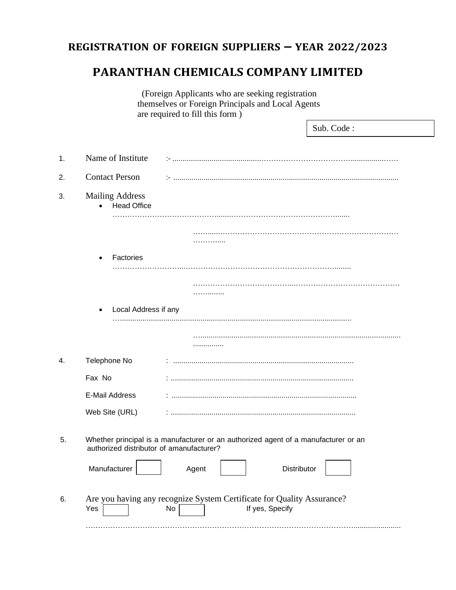# **REGISTRATION OF FOREIGN SUPPLIERS – YEAR 2022/2023**

# **PARANTHAN CHEMICALS COMPANY LIMITED**

| (Foreign Applicants who are seeking registration<br>themselves or Foreign Principals and Local Agents |                                              |                                                                                                                                |  |  |
|-------------------------------------------------------------------------------------------------------|----------------------------------------------|--------------------------------------------------------------------------------------------------------------------------------|--|--|
|                                                                                                       |                                              | are required to fill this form)<br>Sub. Code:                                                                                  |  |  |
| 1.                                                                                                    | Name of Institute                            |                                                                                                                                |  |  |
| 2.                                                                                                    | <b>Contact Person</b>                        |                                                                                                                                |  |  |
| 3.                                                                                                    | <b>Mailing Address</b><br><b>Head Office</b> |                                                                                                                                |  |  |
|                                                                                                       |                                              | .                                                                                                                              |  |  |
|                                                                                                       | Factories                                    |                                                                                                                                |  |  |
|                                                                                                       | Local Address if any<br>$\bullet$            | .                                                                                                                              |  |  |
|                                                                                                       |                                              |                                                                                                                                |  |  |
| 4.                                                                                                    | Telephone No                                 |                                                                                                                                |  |  |
|                                                                                                       | Fax No                                       |                                                                                                                                |  |  |
|                                                                                                       | <b>E-Mail Address</b>                        |                                                                                                                                |  |  |
|                                                                                                       | Web Site (URL)                               |                                                                                                                                |  |  |
| 5.                                                                                                    |                                              | Whether principal is a manufacturer or an authorized agent of a manufacturer or an<br>authorized distributor of amanufacturer? |  |  |
|                                                                                                       | Manufacturer                                 | Distributor<br>Agent                                                                                                           |  |  |
| 6.                                                                                                    | Yes                                          | Are you having any recognize System Certificate for Quality Assurance?<br>If yes, Specify<br>No                                |  |  |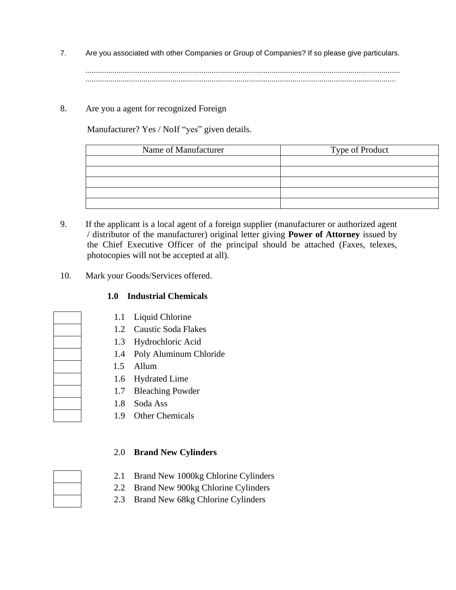7. Are you associated with other Companies or Group of Companies? If so please give particulars. ........................................................................................................................................................

......................................................................................................................................................

8. Are you a agent for recognized Foreign

Manufacturer? Yes / NoIf "yes" given details.

| Name of Manufacturer | Type of Product |
|----------------------|-----------------|
|                      |                 |
|                      |                 |
|                      |                 |
|                      |                 |
|                      |                 |

- 9. If the applicant is a local agent of a foreign supplier (manufacturer or authorized agent / distributor of the manufacturer) original letter giving **Power of Attorney** issued by the Chief Executive Officer of the principal should be attached (Faxes, telexes, photocopies will not be accepted at all).
- 10. Mark your Goods/Services offered.

### **1.0 Industrial Chemicals**

- 1.1 Liquid Chlorine
- 1.2 Caustic Soda Flakes
- 1.3 Hydrochloric Acid
- 1.4 Poly Aluminum Chloride
- 1.5 Allum
- 1.6 Hydrated Lime
- 1.7 Bleaching Powder
- 1.8 Soda Ass
- 1.9 Other Chemicals

### 2.0 **Brand New Cylinders**

- 2.1 Brand New 1000kg Chlorine Cylinders
- 2.2 Brand New 900kg Chlorine Cylinders
- 2.3 Brand New 68kg Chlorine Cylinders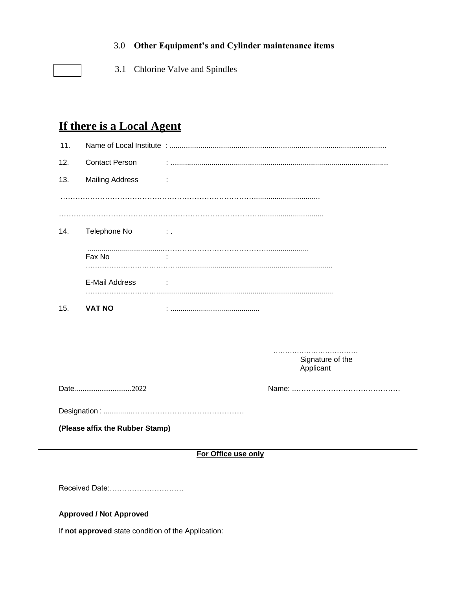#### 3.0 **Other Equipment's and Cylinder maintenance items**

3.1 Chlorine Valve and Spindles

# **If there is a Local Agent**

| 11.                             |                                   |                  |  |  |  |  |
|---------------------------------|-----------------------------------|------------------|--|--|--|--|
| 12.                             | <b>Contact Person</b>             |                  |  |  |  |  |
| 13.                             | <b>Mailing Address</b>            | ÷                |  |  |  |  |
|                                 |                                   |                  |  |  |  |  |
|                                 |                                   |                  |  |  |  |  |
| 14.                             | Telephone No<br><b>Contractor</b> |                  |  |  |  |  |
|                                 | Fax No                            |                  |  |  |  |  |
|                                 | E-Mail Address                    |                  |  |  |  |  |
| 15.                             | <b>VAT NO</b>                     |                  |  |  |  |  |
|                                 |                                   |                  |  |  |  |  |
|                                 |                                   | Signature of the |  |  |  |  |
|                                 |                                   | Applicant        |  |  |  |  |
|                                 | Date2022                          |                  |  |  |  |  |
|                                 |                                   |                  |  |  |  |  |
| (Please affix the Rubber Stamp) |                                   |                  |  |  |  |  |
| For Office use only             |                                   |                  |  |  |  |  |
|                                 |                                   |                  |  |  |  |  |

Received Date:…………………………

#### **Approved / Not Approved**

If **not approved** state condition of the Application: